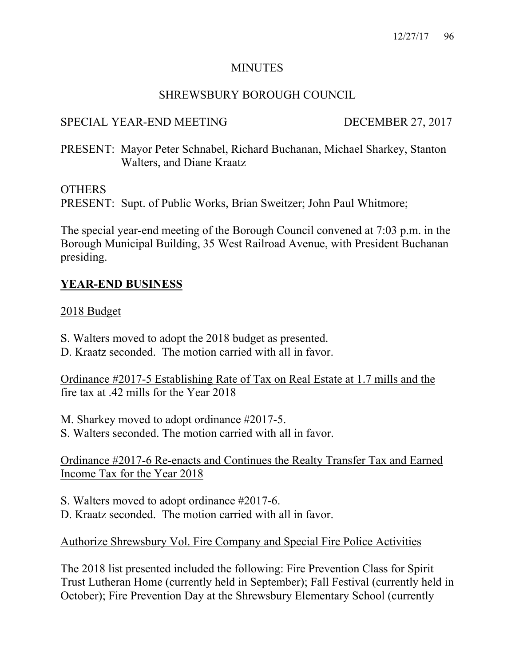#### **MINUTES**

## SHREWSBURY BOROUGH COUNCIL

## SPECIAL YEAR-END MEETING DECEMBER 27, 2017

PRESENT: Mayor Peter Schnabel, Richard Buchanan, Michael Sharkey, Stanton Walters, and Diane Kraatz

#### **OTHERS**

PRESENT: Supt. of Public Works, Brian Sweitzer; John Paul Whitmore;

The special year-end meeting of the Borough Council convened at 7:03 p.m. in the Borough Municipal Building, 35 West Railroad Avenue, with President Buchanan presiding.

## **YEAR-END BUSINESS**

#### 2018 Budget

- S. Walters moved to adopt the 2018 budget as presented.
- D. Kraatz seconded. The motion carried with all in favor.

Ordinance #2017-5 Establishing Rate of Tax on Real Estate at 1.7 mills and the fire tax at .42 mills for the Year 2018

M. Sharkey moved to adopt ordinance #2017-5.

S. Walters seconded. The motion carried with all in favor.

Ordinance #2017-6 Re-enacts and Continues the Realty Transfer Tax and Earned Income Tax for the Year 2018

S. Walters moved to adopt ordinance #2017-6.

D. Kraatz seconded. The motion carried with all in favor.

Authorize Shrewsbury Vol. Fire Company and Special Fire Police Activities

The 2018 list presented included the following: Fire Prevention Class for Spirit Trust Lutheran Home (currently held in September); Fall Festival (currently held in October); Fire Prevention Day at the Shrewsbury Elementary School (currently